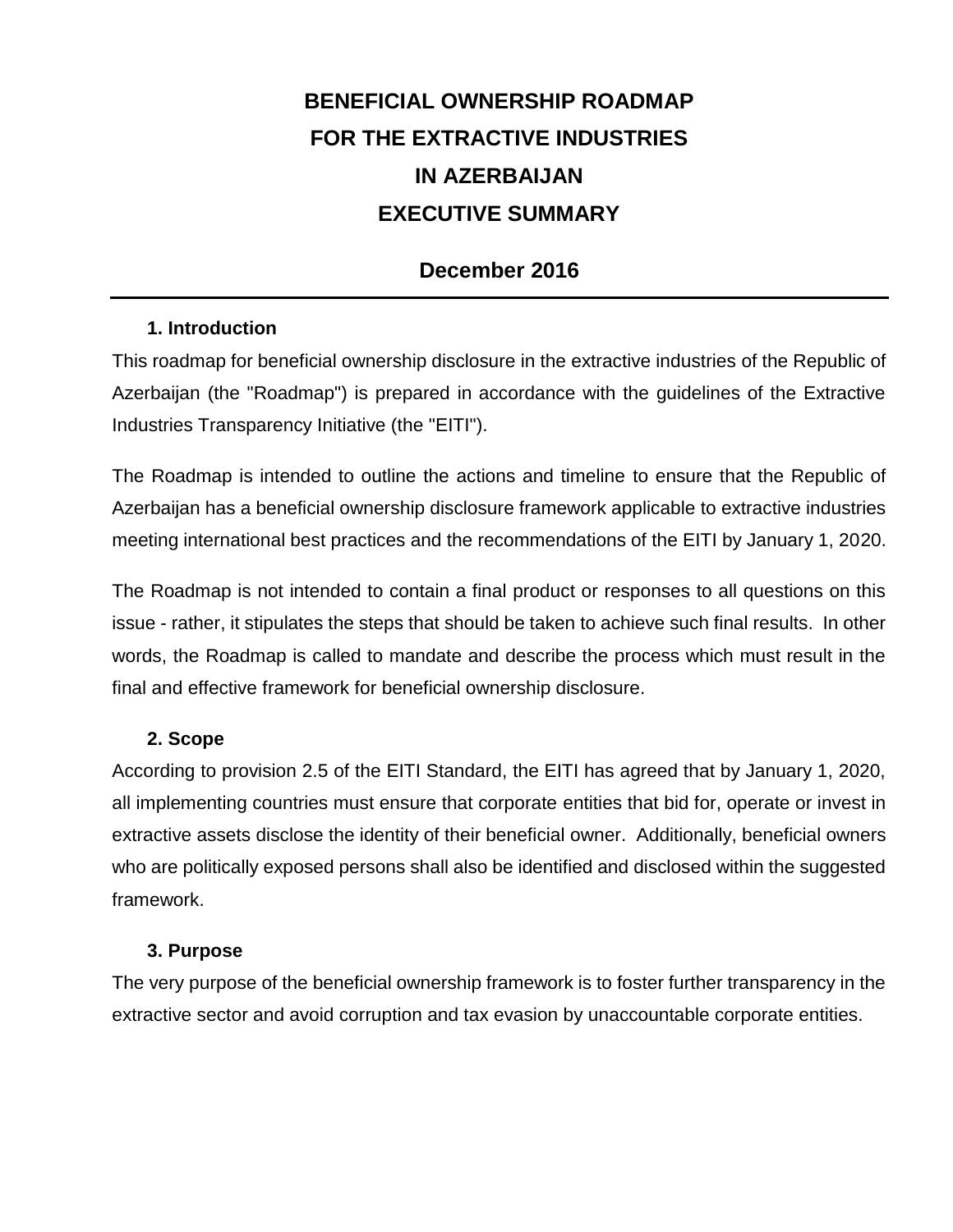# **BENEFICIAL OWNERSHIP ROADMAP FOR THE EXTRACTIVE INDUSTRIES IN AZERBAIJAN EXECUTIVE SUMMARY**

## **December 2016**

#### **1. Introduction**

This roadmap for beneficial ownership disclosure in the extractive industries of the Republic of Azerbaijan (the "Roadmap") is prepared in accordance with the guidelines of the Extractive Industries Transparency Initiative (the "EITI").

The Roadmap is intended to outline the actions and timeline to ensure that the Republic of Azerbaijan has a beneficial ownership disclosure framework applicable to extractive industries meeting international best practices and the recommendations of the EITI by January 1, 2020.

The Roadmap is not intended to contain a final product or responses to all questions on this issue - rather, it stipulates the steps that should be taken to achieve such final results. In other words, the Roadmap is called to mandate and describe the process which must result in the final and effective framework for beneficial ownership disclosure.

#### **2. Scope**

According to provision 2.5 of the EITI Standard, the EITI has agreed that by January 1, 2020, all implementing countries must ensure that corporate entities that bid for, operate or invest in extractive assets disclose the identity of their beneficial owner. Additionally, beneficial owners who are politically exposed persons shall also be identified and disclosed within the suggested framework.

#### **3. Purpose**

The very purpose of the beneficial ownership framework is to foster further transparency in the extractive sector and avoid corruption and tax evasion by unaccountable corporate entities.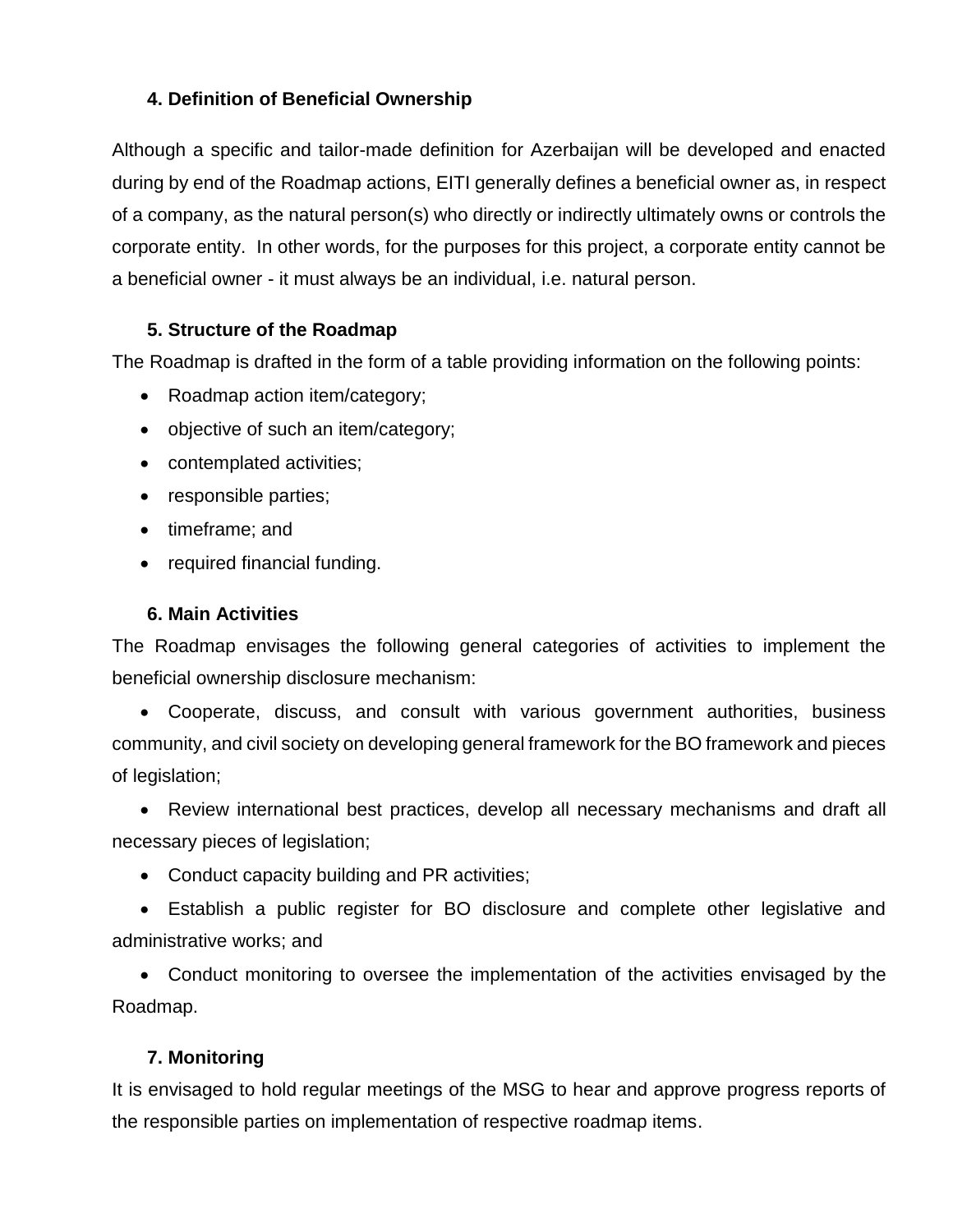### **4. Definition of Beneficial Ownership**

Although a specific and tailor-made definition for Azerbaijan will be developed and enacted during by end of the Roadmap actions, EITI generally defines a beneficial owner as, in respect of a company, as the natural person(s) who directly or indirectly ultimately owns or controls the corporate entity. In other words, for the purposes for this project, a corporate entity cannot be a beneficial owner - it must always be an individual, i.e. natural person.

#### **5. Structure of the Roadmap**

The Roadmap is drafted in the form of a table providing information on the following points:

- Roadmap action item/category;
- objective of such an item/category;
- contemplated activities;
- responsible parties;
- timeframe; and
- required financial funding.

#### **6. Main Activities**

The Roadmap envisages the following general categories of activities to implement the beneficial ownership disclosure mechanism:

 Cooperate, discuss, and consult with various government authorities, business community, and civil society on developing general framework for the BO framework and pieces of legislation;

 Review international best practices, develop all necessary mechanisms and draft all necessary pieces of legislation;

• Conduct capacity building and PR activities;

 Establish a public register for BO disclosure and complete other legislative and administrative works; and

 Conduct monitoring to oversee the implementation of the activities envisaged by the Roadmap.

#### **7. Monitoring**

It is envisaged to hold regular meetings of the MSG to hear and approve progress reports of the responsible parties on implementation of respective roadmap items.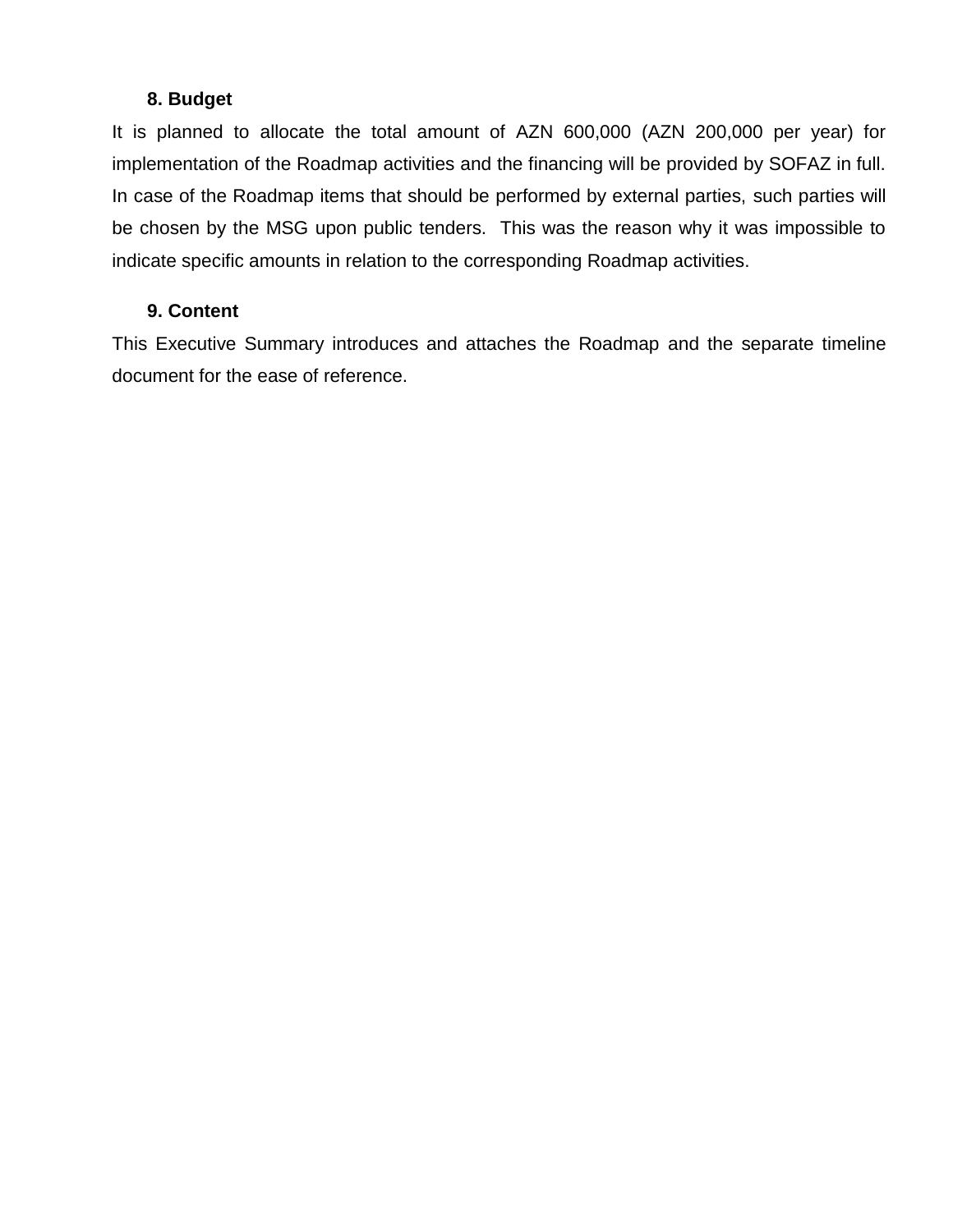#### **8. Budget**

It is planned to allocate the total amount of AZN 600,000 (AZN 200,000 per year) for implementation of the Roadmap activities and the financing will be provided by SOFAZ in full. In case of the Roadmap items that should be performed by external parties, such parties will be chosen by the MSG upon public tenders. This was the reason why it was impossible to indicate specific amounts in relation to the corresponding Roadmap activities.

#### **9. Content**

This Executive Summary introduces and attaches the Roadmap and the separate timeline document for the ease of reference.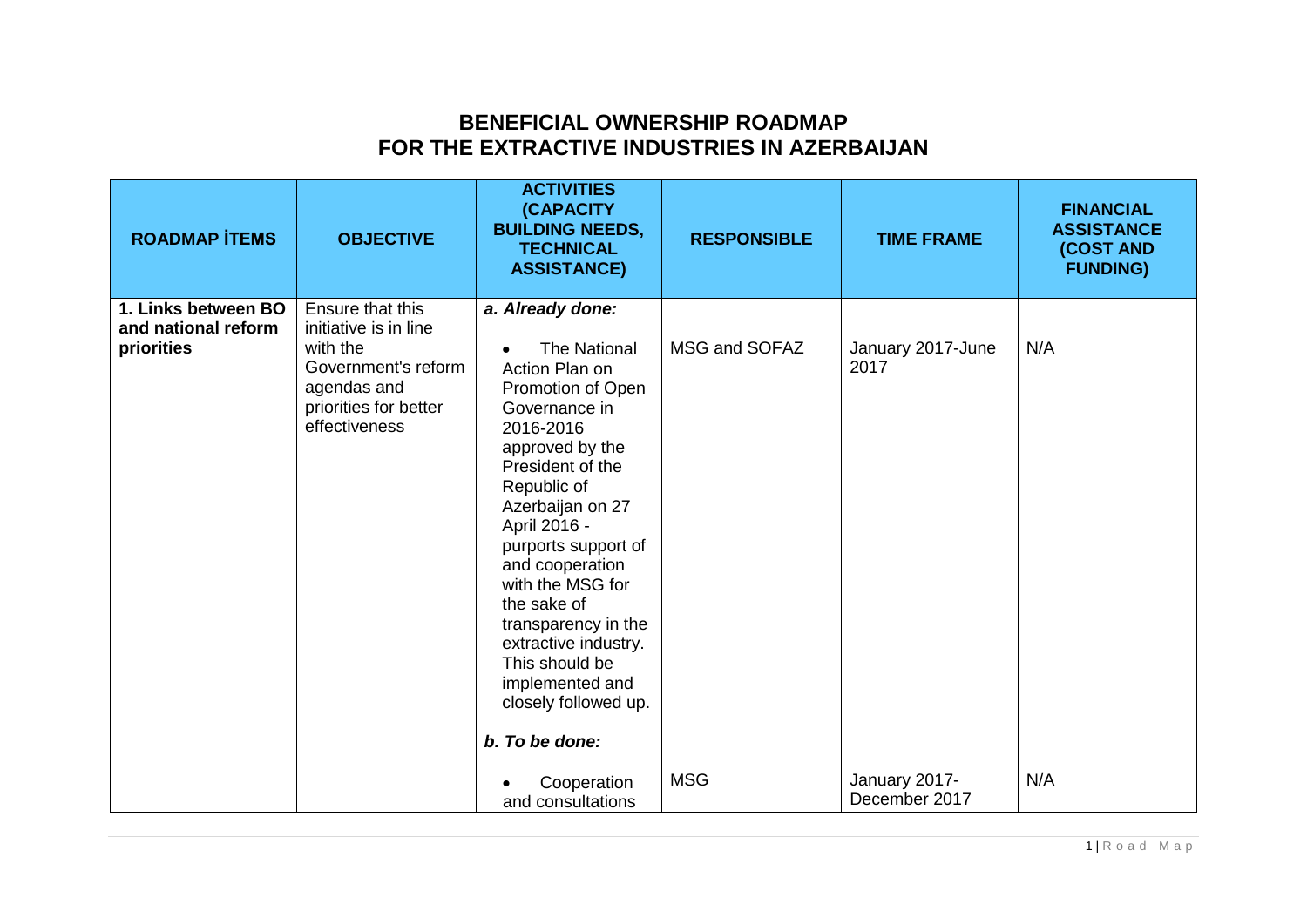## **BENEFICIAL OWNERSHIP ROADMAP FOR THE EXTRACTIVE INDUSTRIES IN AZERBAIJAN**

| <b>ROADMAP İTEMS</b>                                     | <b>OBJECTIVE</b>                                                                                                                      | <b>ACTIVITIES</b><br><b>(CAPACITY</b><br><b>BUILDING NEEDS,</b><br><b>TECHNICAL</b><br><b>ASSISTANCE)</b>                                                                                                                                                                                                                                                                                                         | <b>RESPONSIBLE</b> | <b>TIME FRAME</b>              | <b>FINANCIAL</b><br><b>ASSISTANCE</b><br>(COST AND<br><b>FUNDING)</b> |
|----------------------------------------------------------|---------------------------------------------------------------------------------------------------------------------------------------|-------------------------------------------------------------------------------------------------------------------------------------------------------------------------------------------------------------------------------------------------------------------------------------------------------------------------------------------------------------------------------------------------------------------|--------------------|--------------------------------|-----------------------------------------------------------------------|
| 1. Links between BO<br>and national reform<br>priorities | Ensure that this<br>initiative is in line<br>with the<br>Government's reform<br>agendas and<br>priorities for better<br>effectiveness | a. Already done:<br><b>The National</b><br>Action Plan on<br>Promotion of Open<br>Governance in<br>2016-2016<br>approved by the<br>President of the<br>Republic of<br>Azerbaijan on 27<br>April 2016 -<br>purports support of<br>and cooperation<br>with the MSG for<br>the sake of<br>transparency in the<br>extractive industry.<br>This should be<br>implemented and<br>closely followed up.<br>b. To be done: | MSG and SOFAZ      | January 2017-June<br>2017      | N/A                                                                   |
|                                                          |                                                                                                                                       | Cooperation<br>and consultations                                                                                                                                                                                                                                                                                                                                                                                  | <b>MSG</b>         | January 2017-<br>December 2017 | N/A                                                                   |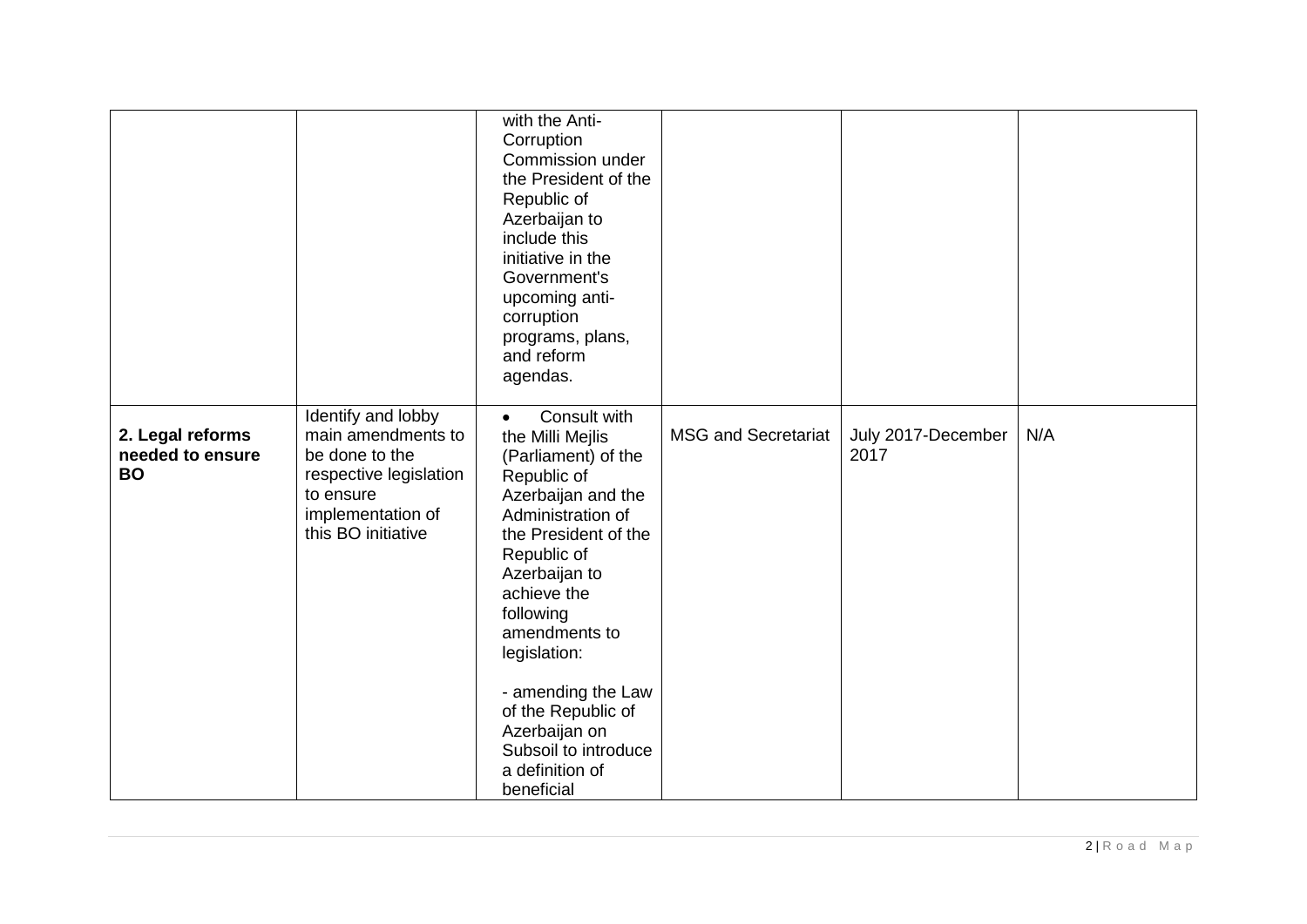|                                                   |                                                                                                   | with the Anti-<br>Corruption<br>Commission under<br>the President of the<br>Republic of<br>Azerbaijan to<br>include this<br>initiative in the<br>Government's<br>upcoming anti-<br>corruption |                            |                            |     |
|---------------------------------------------------|---------------------------------------------------------------------------------------------------|-----------------------------------------------------------------------------------------------------------------------------------------------------------------------------------------------|----------------------------|----------------------------|-----|
| 2. Legal reforms<br>needed to ensure<br><b>BO</b> | Identify and lobby<br>main amendments to<br>be done to the<br>respective legislation<br>to ensure | programs, plans,<br>and reform<br>agendas.<br>Consult with<br>$\bullet$<br>the Milli Mejlis<br>(Parliament) of the<br>Republic of<br>Azerbaijan and the                                       | <b>MSG and Secretariat</b> | July 2017-December<br>2017 | N/A |
|                                                   | implementation of<br>this BO initiative                                                           | Administration of<br>the President of the<br>Republic of<br>Azerbaijan to<br>achieve the<br>following<br>amendments to<br>legislation:                                                        |                            |                            |     |
|                                                   |                                                                                                   | - amending the Law<br>of the Republic of<br>Azerbaijan on<br>Subsoil to introduce<br>a definition of<br>beneficial                                                                            |                            |                            |     |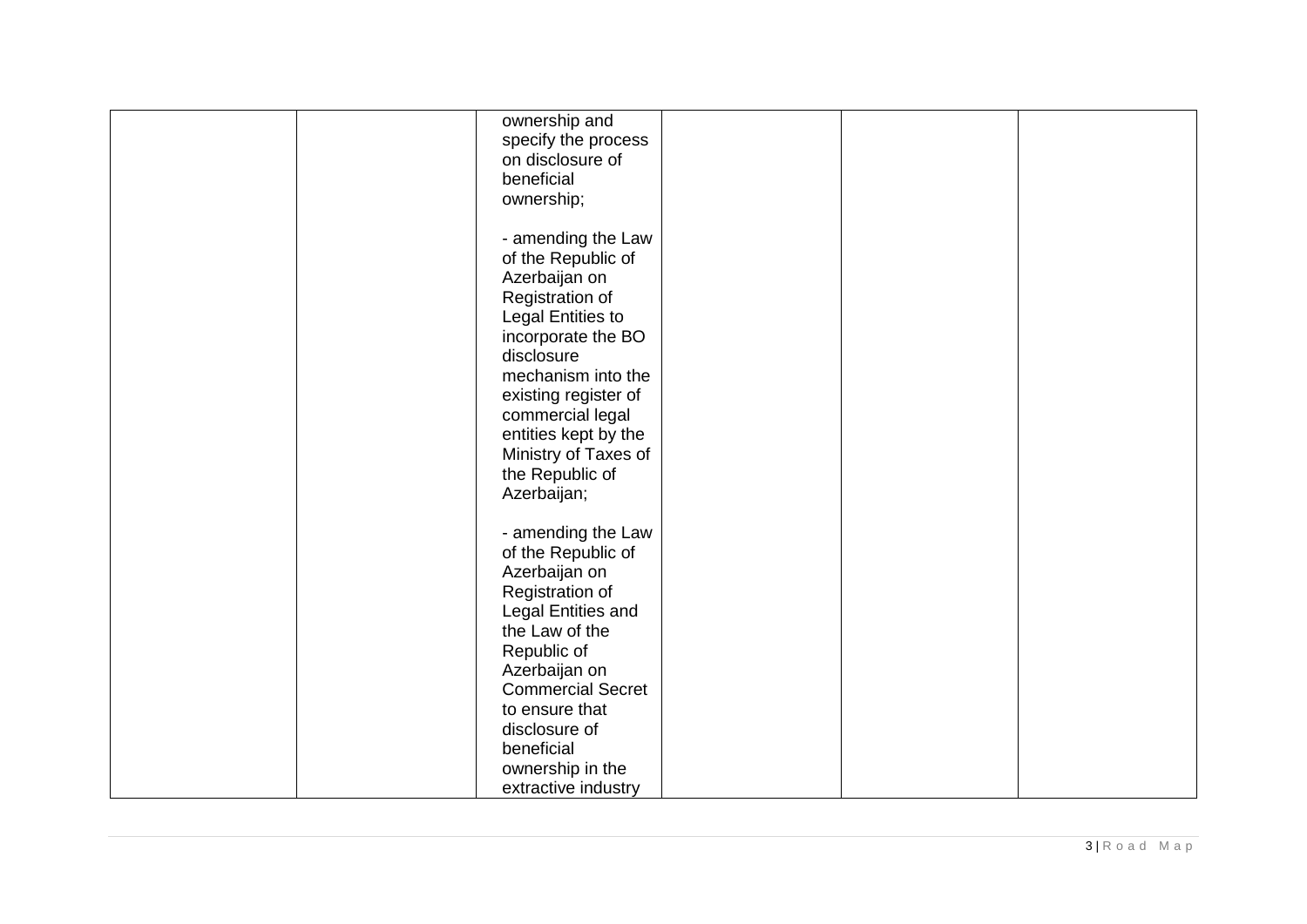| ownership and<br>specify the process<br>on disclosure of<br>beneficial<br>ownership;                                                                                                                                                                                                      |
|-------------------------------------------------------------------------------------------------------------------------------------------------------------------------------------------------------------------------------------------------------------------------------------------|
| - amending the Law<br>of the Republic of<br>Azerbaijan on<br>Registration of<br>Legal Entities to<br>incorporate the BO<br>disclosure<br>mechanism into the<br>existing register of<br>commercial legal<br>entities kept by the<br>Ministry of Taxes of<br>the Republic of<br>Azerbaijan; |
| - amending the Law<br>of the Republic of<br>Azerbaijan on<br>Registration of<br>Legal Entities and<br>the Law of the<br>Republic of<br>Azerbaijan on<br><b>Commercial Secret</b><br>to ensure that<br>disclosure of<br>beneficial                                                         |
| ownership in the<br>extractive industry                                                                                                                                                                                                                                                   |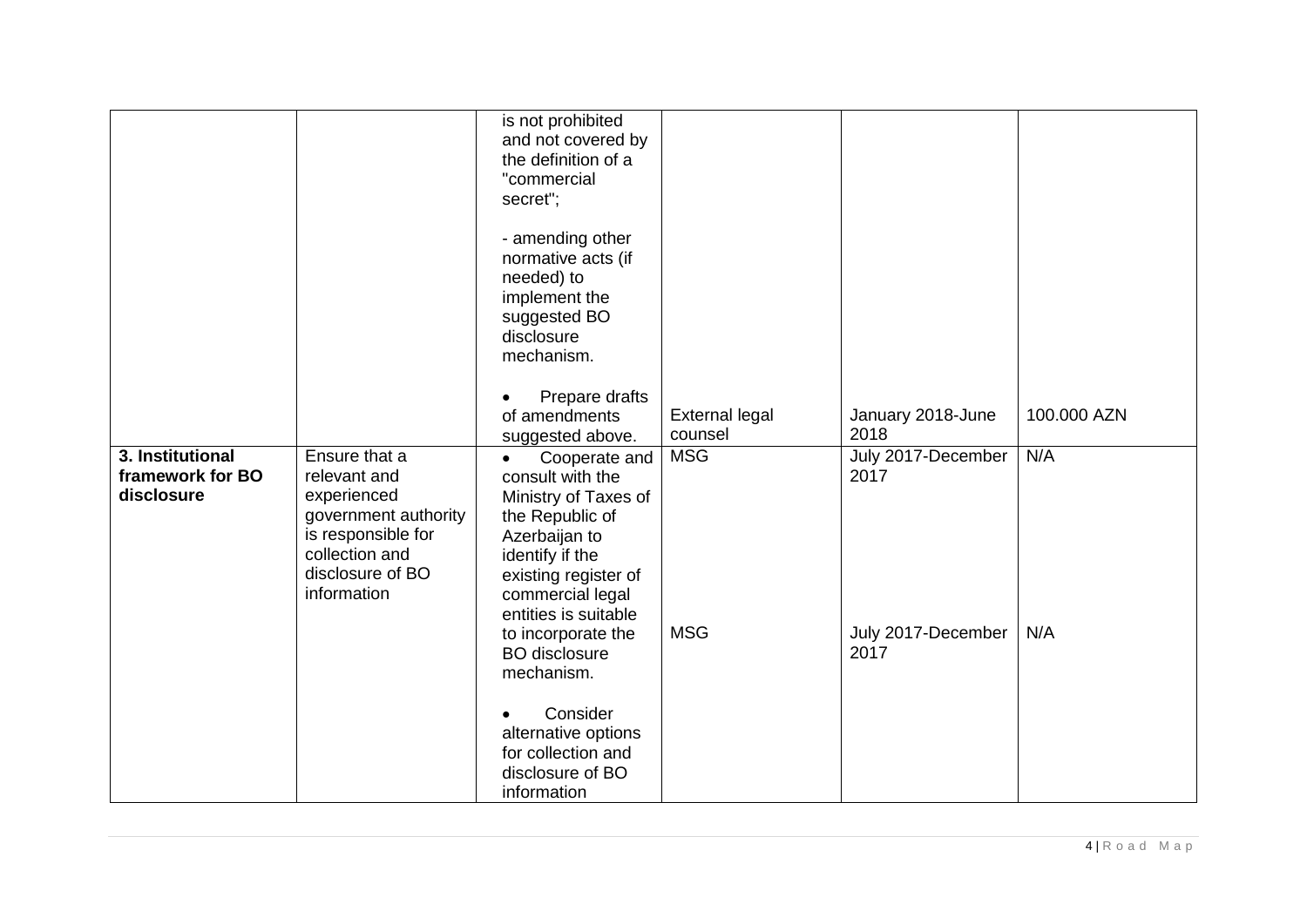|                                                    |                                                                                                                                                 | is not prohibited<br>and not covered by<br>the definition of a<br>"commercial<br>secret";                                                                                                                                                                     |                                  |                                                          |             |
|----------------------------------------------------|-------------------------------------------------------------------------------------------------------------------------------------------------|---------------------------------------------------------------------------------------------------------------------------------------------------------------------------------------------------------------------------------------------------------------|----------------------------------|----------------------------------------------------------|-------------|
|                                                    |                                                                                                                                                 | - amending other<br>normative acts (if<br>needed) to<br>implement the<br>suggested BO<br>disclosure<br>mechanism.                                                                                                                                             |                                  |                                                          |             |
|                                                    |                                                                                                                                                 | Prepare drafts<br>of amendments<br>suggested above.                                                                                                                                                                                                           | <b>External legal</b><br>counsel | January 2018-June<br>2018                                | 100.000 AZN |
| 3. Institutional<br>framework for BO<br>disclosure | Ensure that a<br>relevant and<br>experienced<br>government authority<br>is responsible for<br>collection and<br>disclosure of BO<br>information | Cooperate and<br>$\bullet$<br>consult with the<br>Ministry of Taxes of<br>the Republic of<br>Azerbaijan to<br>identify if the<br>existing register of<br>commercial legal<br>entities is suitable<br>to incorporate the<br><b>BO</b> disclosure<br>mechanism. | <b>MSG</b><br><b>MSG</b>         | July 2017-December<br>2017<br>July 2017-December<br>2017 | N/A<br>N/A  |
|                                                    |                                                                                                                                                 | Consider<br>alternative options<br>for collection and<br>disclosure of BO<br>information                                                                                                                                                                      |                                  |                                                          |             |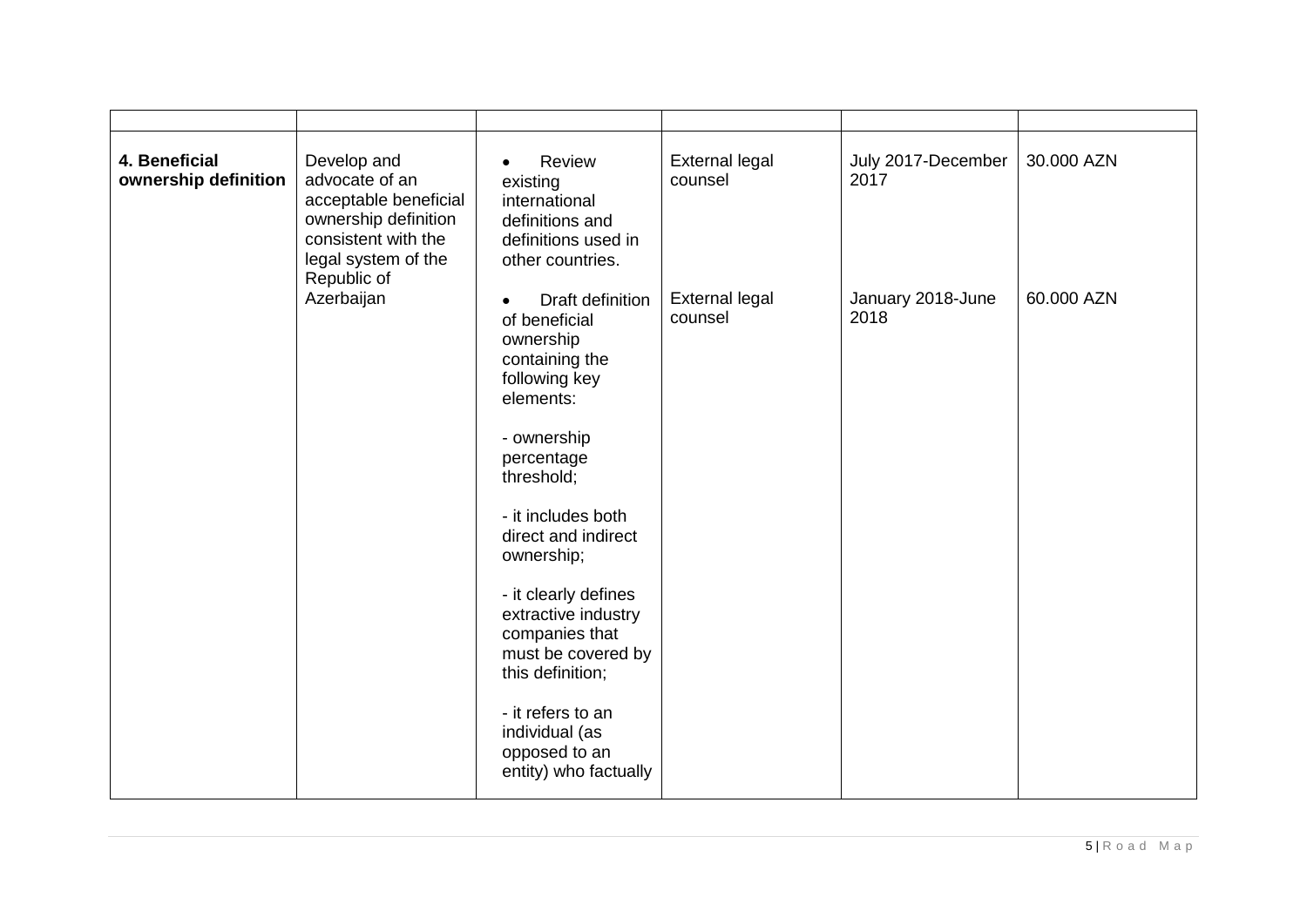| 4. Beneficial<br>ownership definition | Develop and<br>advocate of an<br>acceptable beneficial<br>ownership definition<br>consistent with the<br>legal system of the<br>Republic of | Review<br>$\bullet$<br>existing<br>international<br>definitions and<br>definitions used in<br>other countries.                                                                                                                                                                                                                                                                                                | <b>External legal</b><br>counsel | July 2017-December<br>2017 | 30.000 AZN |
|---------------------------------------|---------------------------------------------------------------------------------------------------------------------------------------------|---------------------------------------------------------------------------------------------------------------------------------------------------------------------------------------------------------------------------------------------------------------------------------------------------------------------------------------------------------------------------------------------------------------|----------------------------------|----------------------------|------------|
|                                       | Azerbaijan                                                                                                                                  | Draft definition<br>$\bullet$<br>of beneficial<br>ownership<br>containing the<br>following key<br>elements:<br>- ownership<br>percentage<br>threshold;<br>- it includes both<br>direct and indirect<br>ownership;<br>- it clearly defines<br>extractive industry<br>companies that<br>must be covered by<br>this definition;<br>- it refers to an<br>individual (as<br>opposed to an<br>entity) who factually | <b>External legal</b><br>counsel | January 2018-June<br>2018  | 60.000 AZN |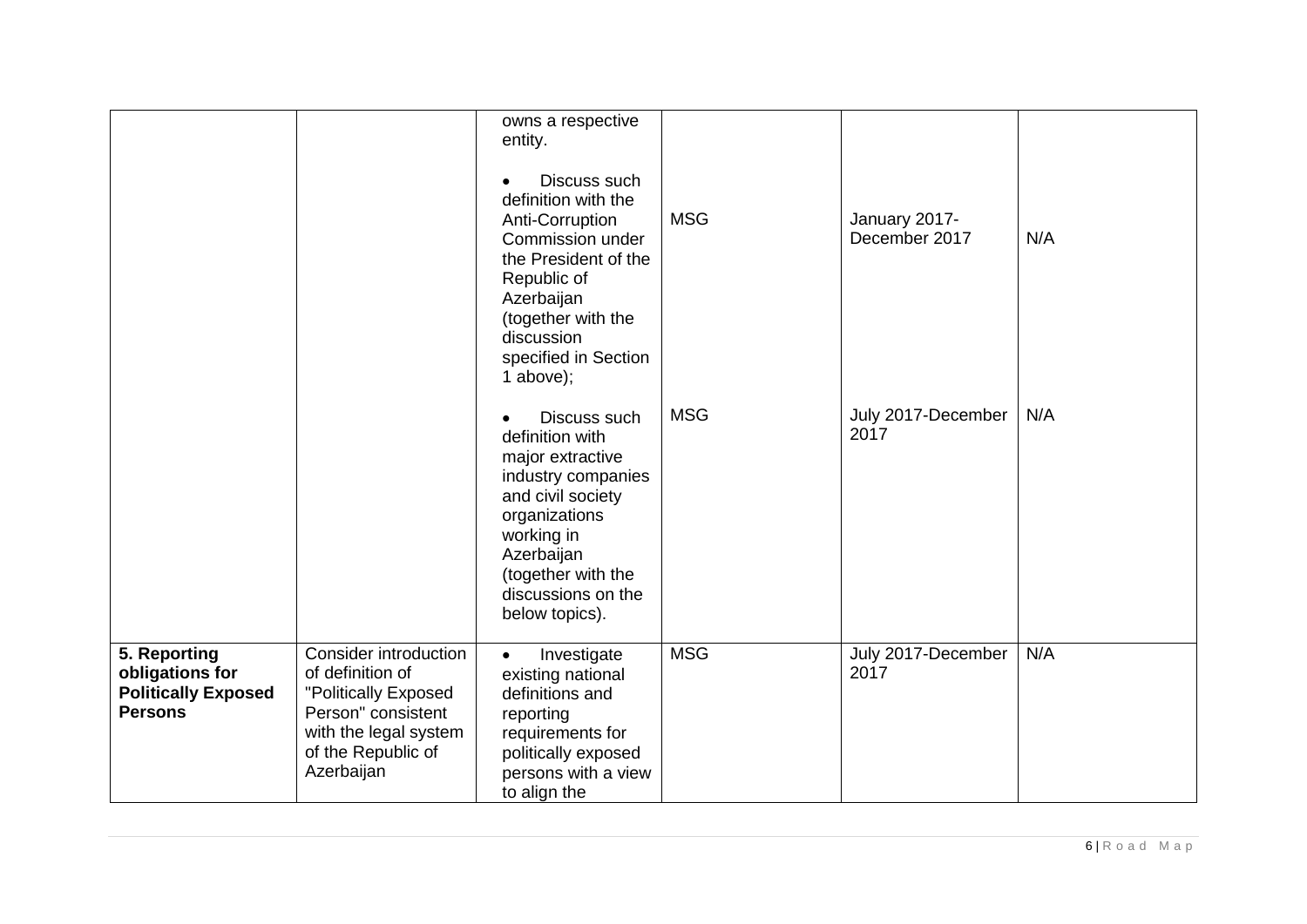|                                                                                 |                                                                                                                                                             | owns a respective<br>entity.<br>Discuss such<br>$\bullet$<br>definition with the<br>Anti-Corruption<br>Commission under<br>the President of the<br>Republic of<br>Azerbaijan<br>(together with the<br>discussion<br>specified in Section<br>1 above); | <b>MSG</b> | January 2017-<br>December 2017 | N/A |
|---------------------------------------------------------------------------------|-------------------------------------------------------------------------------------------------------------------------------------------------------------|-------------------------------------------------------------------------------------------------------------------------------------------------------------------------------------------------------------------------------------------------------|------------|--------------------------------|-----|
|                                                                                 |                                                                                                                                                             | Discuss such<br>$\bullet$<br>definition with<br>major extractive<br>industry companies<br>and civil society<br>organizations<br>working in<br>Azerbaijan<br>(together with the<br>discussions on the<br>below topics).                                | <b>MSG</b> | July 2017-December<br>2017     | N/A |
| 5. Reporting<br>obligations for<br><b>Politically Exposed</b><br><b>Persons</b> | <b>Consider introduction</b><br>of definition of<br>"Politically Exposed<br>Person" consistent<br>with the legal system<br>of the Republic of<br>Azerbaijan | Investigate<br>$\bullet$<br>existing national<br>definitions and<br>reporting<br>requirements for<br>politically exposed<br>persons with a view<br>to align the                                                                                       | <b>MSG</b> | July 2017-December<br>2017     | N/A |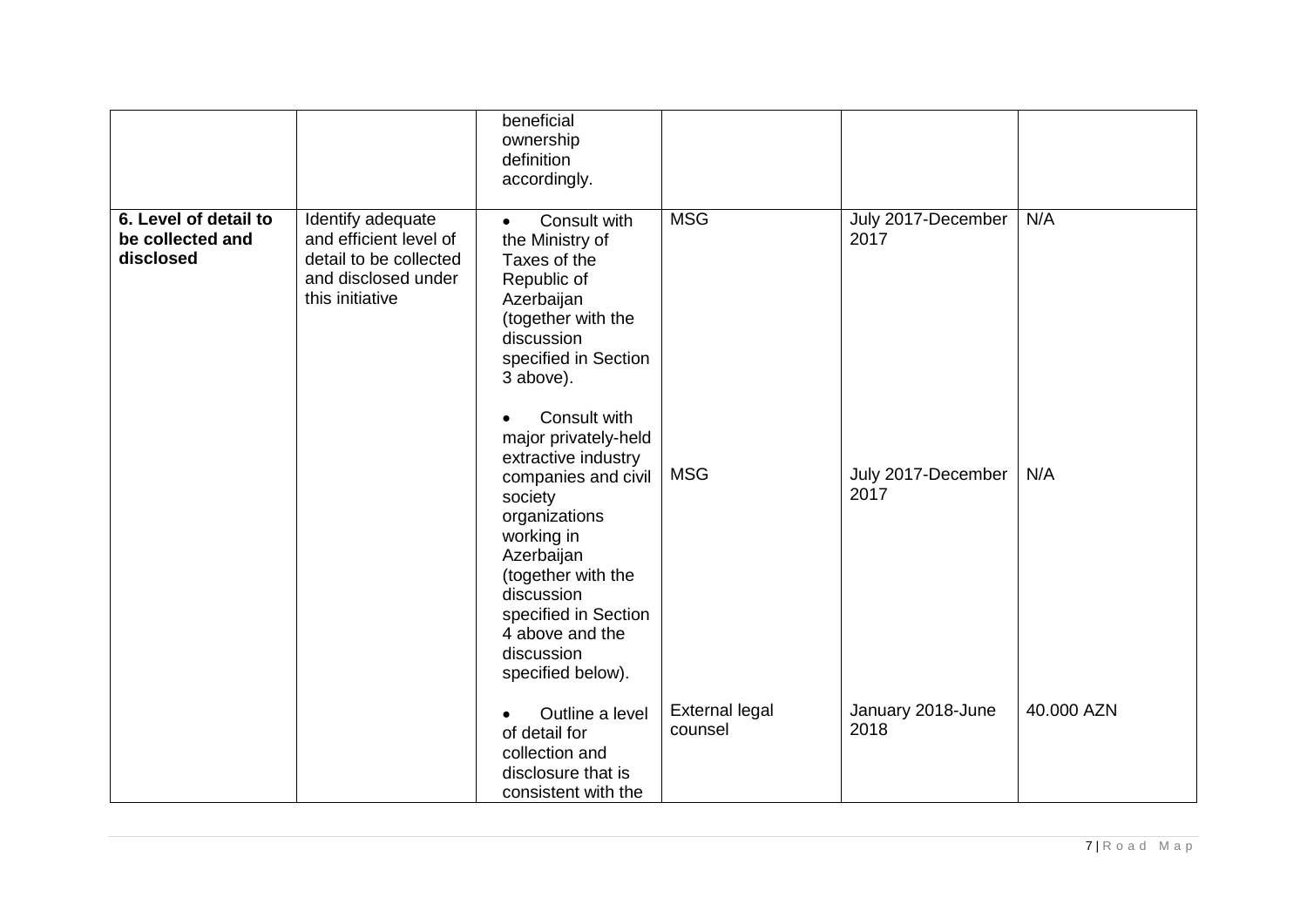|                                                        |                                                                                                                 | beneficial<br>ownership<br>definition<br>accordingly.                                                                                                                                                                                                                                                                                                                                                                              |                                  |                                                          |            |
|--------------------------------------------------------|-----------------------------------------------------------------------------------------------------------------|------------------------------------------------------------------------------------------------------------------------------------------------------------------------------------------------------------------------------------------------------------------------------------------------------------------------------------------------------------------------------------------------------------------------------------|----------------------------------|----------------------------------------------------------|------------|
| 6. Level of detail to<br>be collected and<br>disclosed | Identify adequate<br>and efficient level of<br>detail to be collected<br>and disclosed under<br>this initiative | Consult with<br>$\bullet$<br>the Ministry of<br>Taxes of the<br>Republic of<br>Azerbaijan<br>(together with the<br>discussion<br>specified in Section<br>3 above).<br>Consult with<br>major privately-held<br>extractive industry<br>companies and civil<br>society<br>organizations<br>working in<br>Azerbaijan<br>(together with the<br>discussion<br>specified in Section<br>4 above and the<br>discussion<br>specified below). | <b>MSG</b><br><b>MSG</b>         | July 2017-December<br>2017<br>July 2017-December<br>2017 | N/A<br>N/A |
|                                                        |                                                                                                                 | Outline a level<br>of detail for<br>collection and<br>disclosure that is<br>consistent with the                                                                                                                                                                                                                                                                                                                                    | <b>External legal</b><br>counsel | January 2018-June<br>2018                                | 40.000 AZN |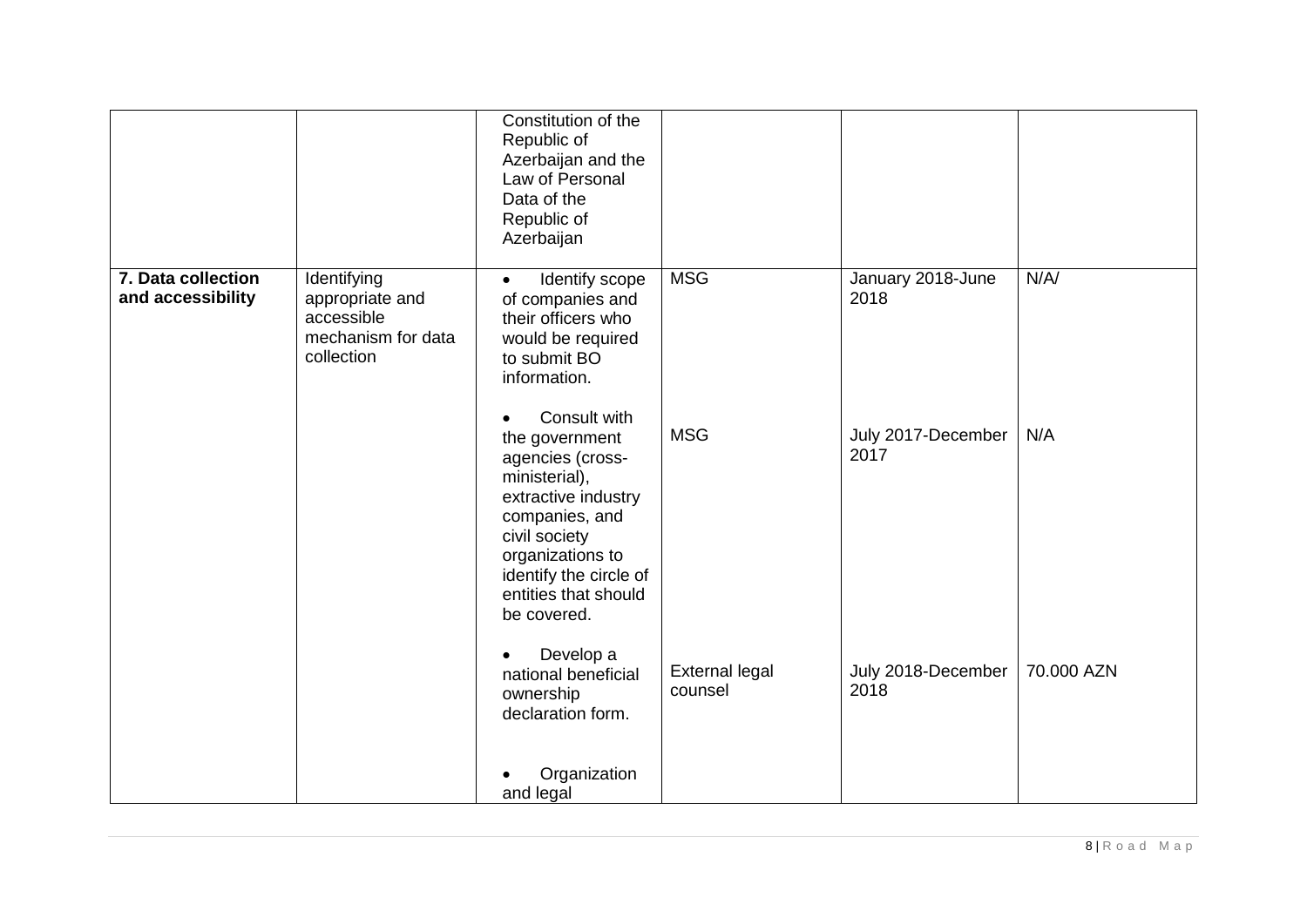|                                         |                                                                                  | Constitution of the<br>Republic of<br>Azerbaijan and the<br>Law of Personal<br>Data of the<br>Republic of<br>Azerbaijan                                                                                                         |                                  |                            |            |
|-----------------------------------------|----------------------------------------------------------------------------------|---------------------------------------------------------------------------------------------------------------------------------------------------------------------------------------------------------------------------------|----------------------------------|----------------------------|------------|
| 7. Data collection<br>and accessibility | Identifying<br>appropriate and<br>accessible<br>mechanism for data<br>collection | Identify scope<br>$\bullet$<br>of companies and<br>their officers who<br>would be required<br>to submit BO<br>information.                                                                                                      | <b>MSG</b>                       | January 2018-June<br>2018  | N/A/       |
|                                         |                                                                                  | Consult with<br>$\bullet$<br>the government<br>agencies (cross-<br>ministerial),<br>extractive industry<br>companies, and<br>civil society<br>organizations to<br>identify the circle of<br>entities that should<br>be covered. | <b>MSG</b>                       | July 2017-December<br>2017 | N/A        |
|                                         |                                                                                  | Develop a<br>$\bullet$<br>national beneficial<br>ownership<br>declaration form.                                                                                                                                                 | <b>External legal</b><br>counsel | July 2018-December<br>2018 | 70.000 AZN |
|                                         |                                                                                  | Organization<br>and legal                                                                                                                                                                                                       |                                  |                            |            |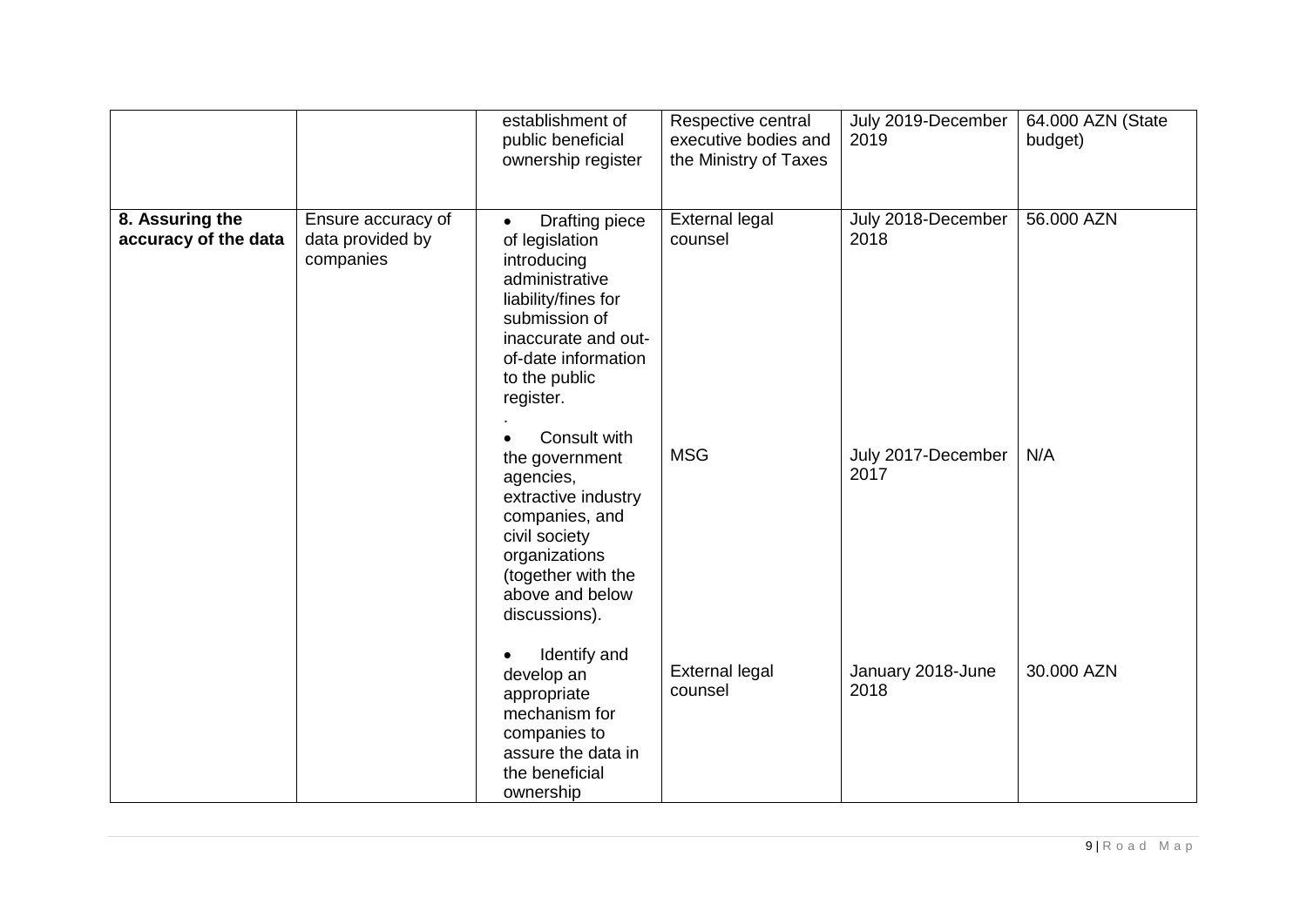|                                         |                                                     | establishment of<br>public beneficial<br>ownership register                                                                                                                                                               | Respective central<br>executive bodies and<br>the Ministry of Taxes | July 2019-December<br>2019 | 64.000 AZN (State<br>budget) |
|-----------------------------------------|-----------------------------------------------------|---------------------------------------------------------------------------------------------------------------------------------------------------------------------------------------------------------------------------|---------------------------------------------------------------------|----------------------------|------------------------------|
| 8. Assuring the<br>accuracy of the data | Ensure accuracy of<br>data provided by<br>companies | <b>Drafting piece</b><br>$\bullet$<br>of legislation<br>introducing<br>administrative<br>liability/fines for<br>submission of<br>inaccurate and out-<br>of-date information<br>to the public<br>register.<br>Consult with | <b>External legal</b><br>counsel                                    | July 2018-December<br>2018 | 56.000 AZN                   |
|                                         |                                                     | the government<br>agencies,<br>extractive industry<br>companies, and<br>civil society<br>organizations<br>(together with the<br>above and below<br>discussions).                                                          | <b>MSG</b>                                                          | July 2017-December<br>2017 | N/A                          |
|                                         |                                                     | Identify and<br>$\bullet$<br>develop an<br>appropriate<br>mechanism for<br>companies to<br>assure the data in<br>the beneficial<br>ownership                                                                              | <b>External legal</b><br>counsel                                    | January 2018-June<br>2018  | 30.000 AZN                   |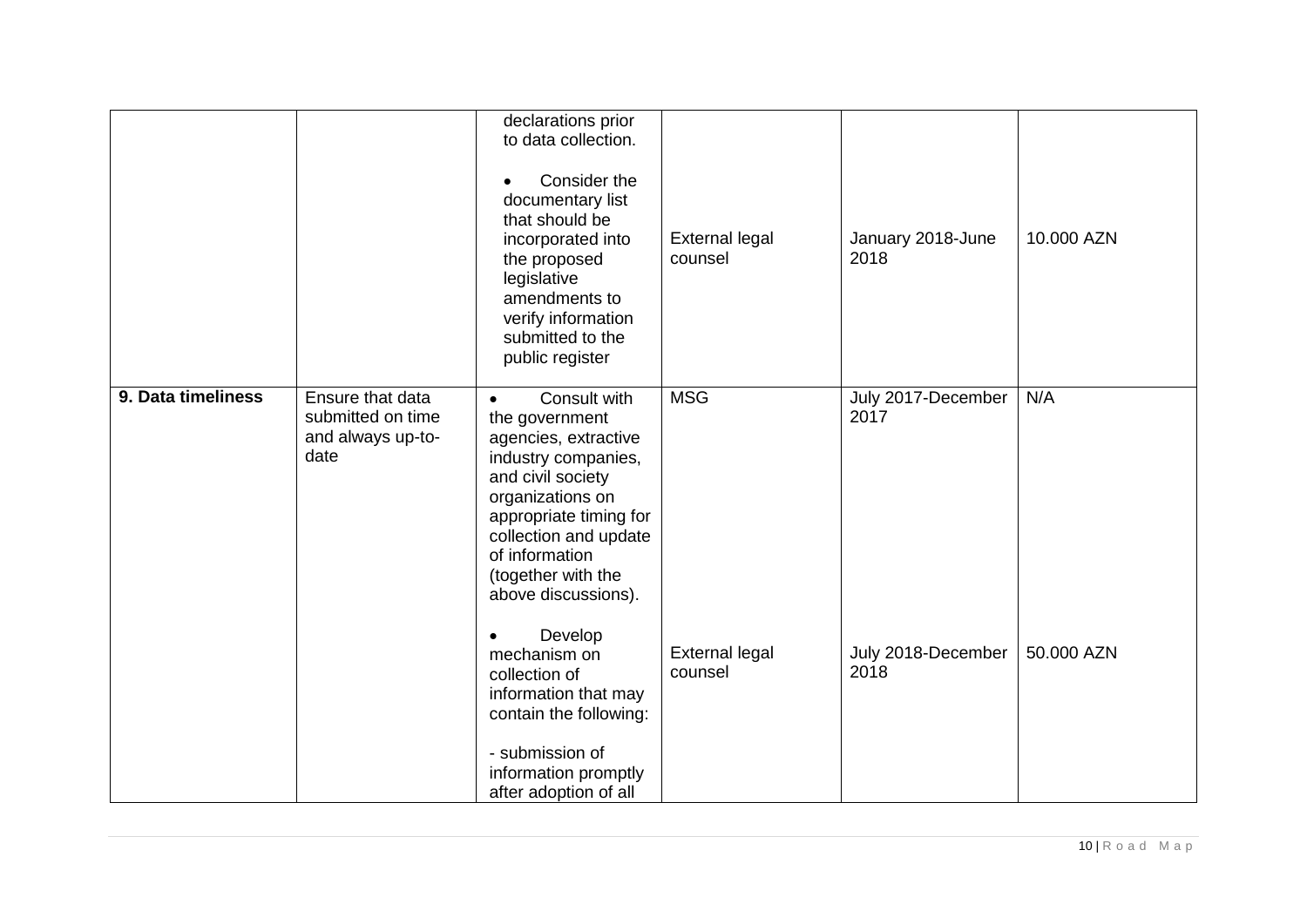|                    |                                                                    | declarations prior<br>to data collection.<br>Consider the<br>documentary list<br>that should be<br>incorporated into<br>the proposed<br>legislative<br>amendments to<br>verify information<br>submitted to the<br>public register                                             | <b>External legal</b><br>counsel | January 2018-June<br>2018  | 10.000 AZN |
|--------------------|--------------------------------------------------------------------|-------------------------------------------------------------------------------------------------------------------------------------------------------------------------------------------------------------------------------------------------------------------------------|----------------------------------|----------------------------|------------|
| 9. Data timeliness | Ensure that data<br>submitted on time<br>and always up-to-<br>date | Consult with<br>$\bullet$<br>the government<br>agencies, extractive<br>industry companies,<br>and civil society<br>organizations on<br>appropriate timing for<br>collection and update<br>of information<br>(together with the<br>above discussions).<br>Develop<br>$\bullet$ | <b>MSG</b>                       | July 2017-December<br>2017 | N/A        |
|                    |                                                                    | mechanism on<br>collection of<br>information that may<br>contain the following:<br>- submission of<br>information promptly<br>after adoption of all                                                                                                                           | <b>External legal</b><br>counsel | July 2018-December<br>2018 | 50.000 AZN |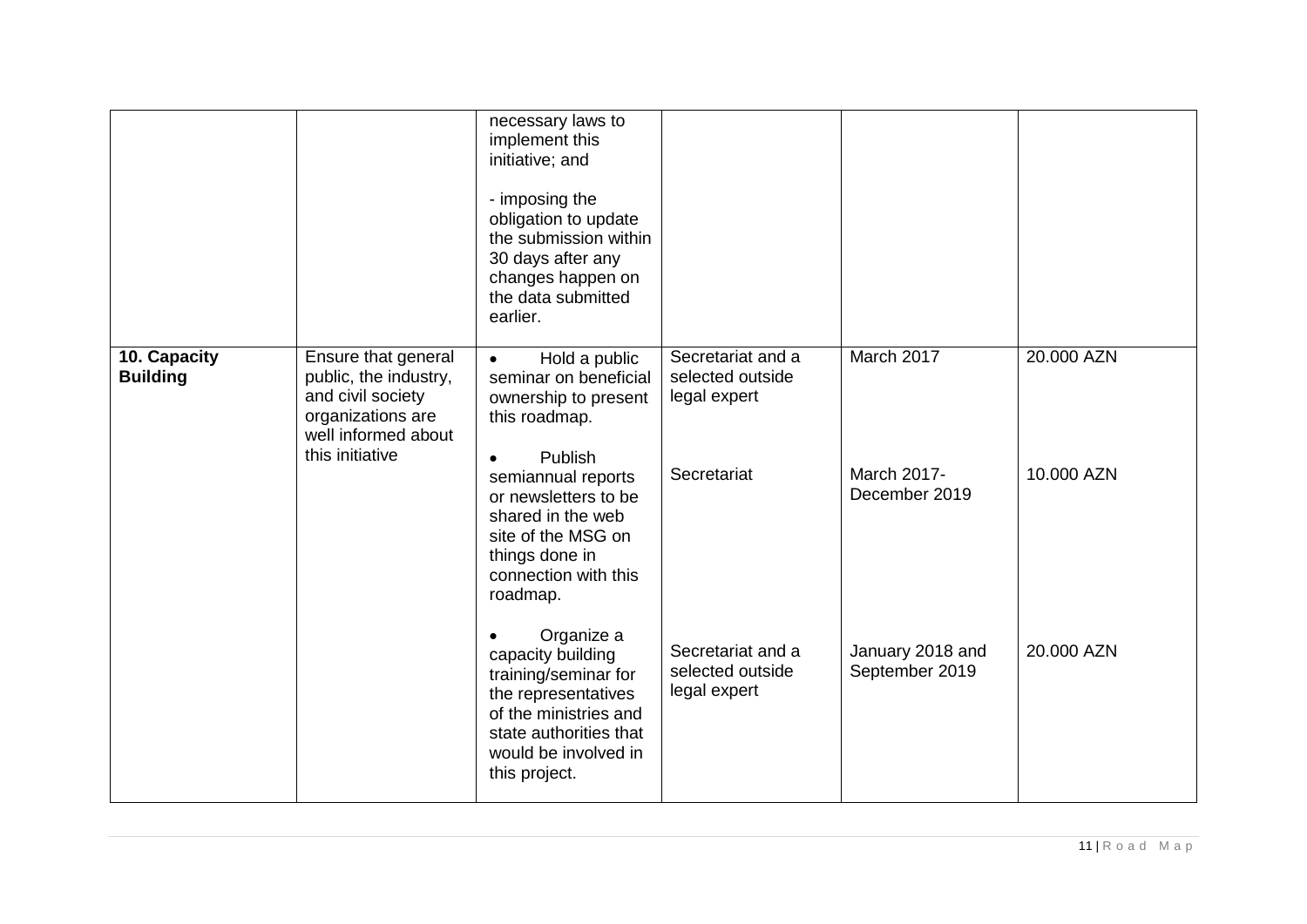|                                 |                                                                                                                                  | necessary laws to<br>implement this<br>initiative; and<br>- imposing the<br>obligation to update<br>the submission within<br>30 days after any<br>changes happen on<br>the data submitted<br>earlier.                                                               |                                                                      |                                            |                          |
|---------------------------------|----------------------------------------------------------------------------------------------------------------------------------|---------------------------------------------------------------------------------------------------------------------------------------------------------------------------------------------------------------------------------------------------------------------|----------------------------------------------------------------------|--------------------------------------------|--------------------------|
| 10. Capacity<br><b>Building</b> | Ensure that general<br>public, the industry,<br>and civil society<br>organizations are<br>well informed about<br>this initiative | Hold a public<br>$\bullet$<br>seminar on beneficial<br>ownership to present<br>this roadmap.<br>Publish<br>$\bullet$<br>semiannual reports<br>or newsletters to be<br>shared in the web<br>site of the MSG on<br>things done in<br>connection with this<br>roadmap. | Secretariat and a<br>selected outside<br>legal expert<br>Secretariat | March 2017<br>March 2017-<br>December 2019 | 20.000 AZN<br>10.000 AZN |
|                                 |                                                                                                                                  | Organize a<br>$\bullet$<br>capacity building<br>training/seminar for<br>the representatives<br>of the ministries and<br>state authorities that<br>would be involved in<br>this project.                                                                             | Secretariat and a<br>selected outside<br>legal expert                | January 2018 and<br>September 2019         | 20.000 AZN               |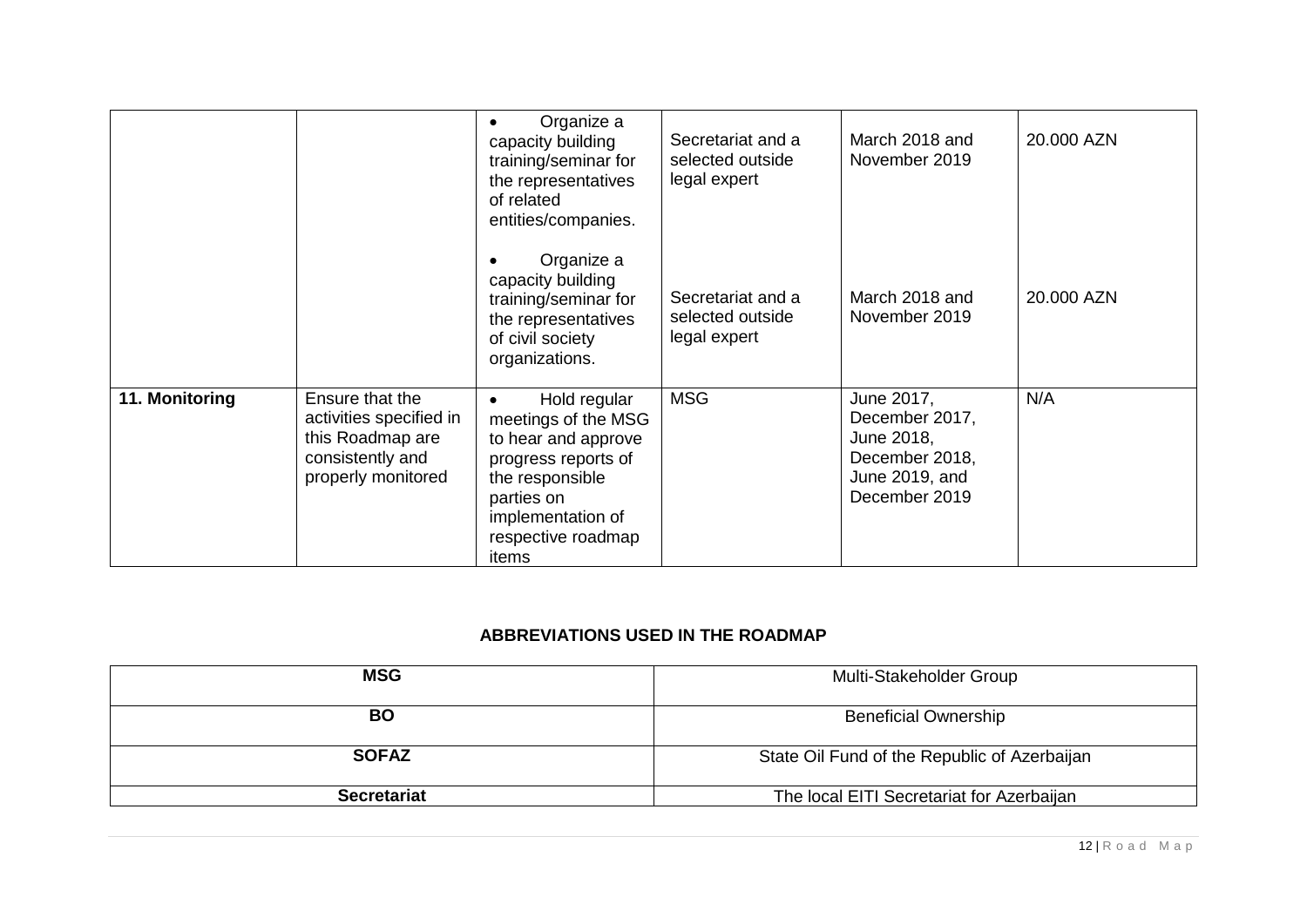|                |                                                                                                          | Organize a<br>$\bullet$<br>capacity building<br>training/seminar for<br>the representatives<br>of related<br>entities/companies.                                                    | Secretariat and a<br>selected outside<br>legal expert | March 2018 and<br>November 2019                                                                 | 20.000 AZN |
|----------------|----------------------------------------------------------------------------------------------------------|-------------------------------------------------------------------------------------------------------------------------------------------------------------------------------------|-------------------------------------------------------|-------------------------------------------------------------------------------------------------|------------|
|                |                                                                                                          | Organize a<br>capacity building<br>training/seminar for<br>the representatives<br>of civil society<br>organizations.                                                                | Secretariat and a<br>selected outside<br>legal expert | March 2018 and<br>November 2019                                                                 | 20.000 AZN |
| 11. Monitoring | Ensure that the<br>activities specified in<br>this Roadmap are<br>consistently and<br>properly monitored | Hold regular<br>$\bullet$<br>meetings of the MSG<br>to hear and approve<br>progress reports of<br>the responsible<br>parties on<br>implementation of<br>respective roadmap<br>items | <b>MSG</b>                                            | June 2017,<br>December 2017,<br>June 2018,<br>December 2018,<br>June 2019, and<br>December 2019 | N/A        |

#### **ABBREVIATIONS USED IN THE ROADMAP**

| <b>MSG</b>         | Multi-Stakeholder Group                      |  |
|--------------------|----------------------------------------------|--|
| <b>BO</b>          | <b>Beneficial Ownership</b>                  |  |
| <b>SOFAZ</b>       | State Oil Fund of the Republic of Azerbaijan |  |
| <b>Secretariat</b> | The local EITI Secretariat for Azerbaijan    |  |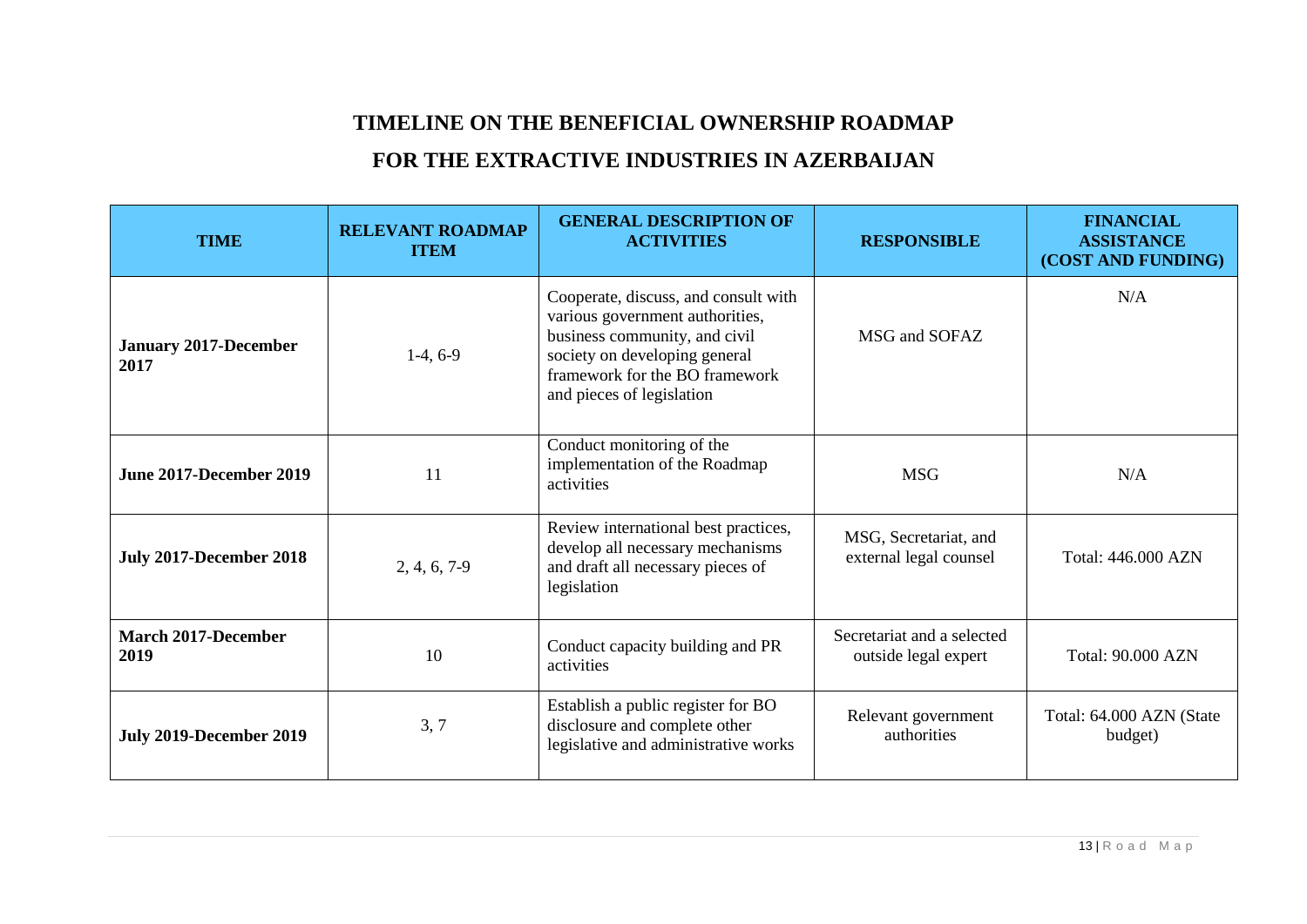## **TIMELINE ON THE BENEFICIAL OWNERSHIP ROADMAP**

## **FOR THE EXTRACTIVE INDUSTRIES IN AZERBAIJAN**

| <b>TIME</b>                          | <b>RELEVANT ROADMAP</b><br><b>ITEM</b> | <b>GENERAL DESCRIPTION OF</b><br><b>ACTIVITIES</b>                                                                                                                                                       | <b>RESPONSIBLE</b>                                 | <b>FINANCIAL</b><br><b>ASSISTANCE</b><br>(COST AND FUNDING) |
|--------------------------------------|----------------------------------------|----------------------------------------------------------------------------------------------------------------------------------------------------------------------------------------------------------|----------------------------------------------------|-------------------------------------------------------------|
| <b>January 2017-December</b><br>2017 | $1-4, 6-9$                             | Cooperate, discuss, and consult with<br>various government authorities,<br>business community, and civil<br>society on developing general<br>framework for the BO framework<br>and pieces of legislation | MSG and SOFAZ                                      | N/A                                                         |
| <b>June 2017-December 2019</b>       | 11                                     | Conduct monitoring of the<br>implementation of the Roadmap<br>activities                                                                                                                                 | <b>MSG</b>                                         | N/A                                                         |
| <b>July 2017-December 2018</b>       | $2, 4, 6, 7-9$                         | Review international best practices,<br>develop all necessary mechanisms<br>and draft all necessary pieces of<br>legislation                                                                             | MSG, Secretariat, and<br>external legal counsel    | Total: 446.000 AZN                                          |
| <b>March 2017-December</b><br>2019   | 10                                     | Conduct capacity building and PR<br>activities                                                                                                                                                           | Secretariat and a selected<br>outside legal expert | <b>Total: 90.000 AZN</b>                                    |
| <b>July 2019-December 2019</b>       | 3, 7                                   | Establish a public register for BO<br>disclosure and complete other<br>legislative and administrative works                                                                                              | Relevant government<br>authorities                 | Total: 64.000 AZN (State<br>budget)                         |